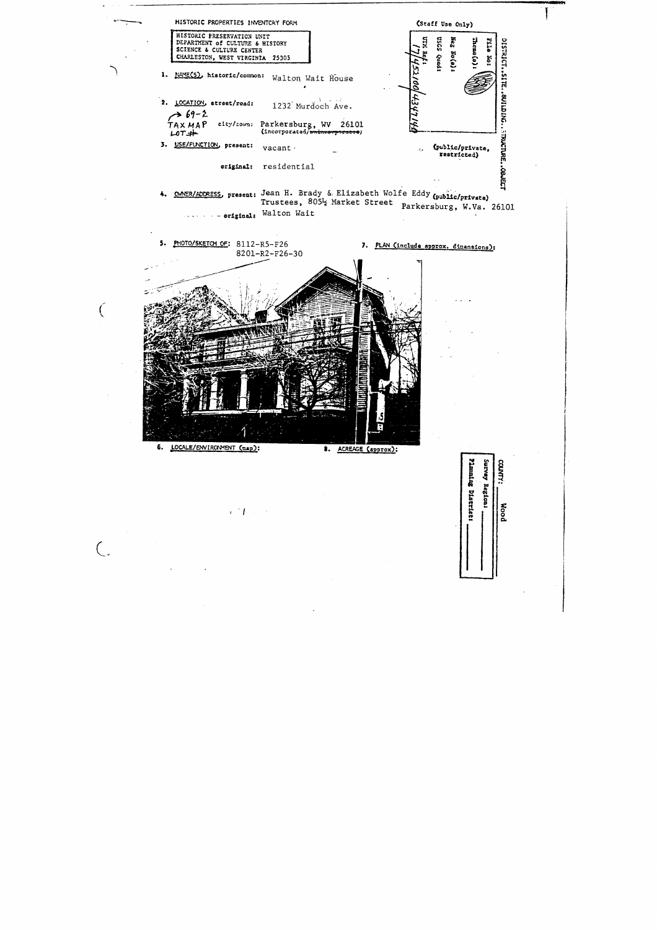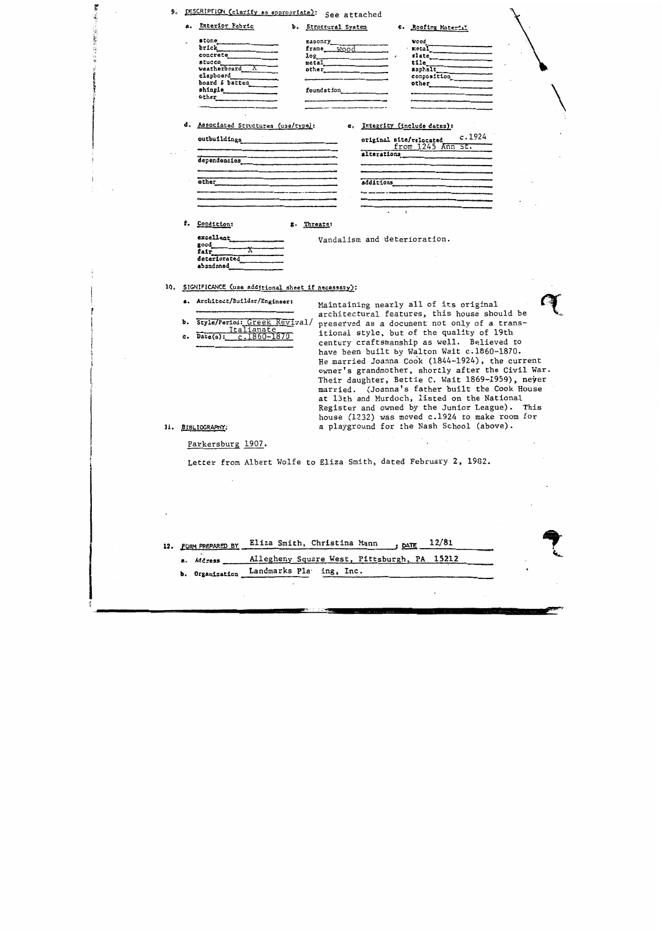|  | 9. DESCRIPTION (clarify as appropriate): See attached |  |  |  |
|--|-------------------------------------------------------|--|--|--|
|--|-------------------------------------------------------|--|--|--|

|  | a. Exterior Fabric |  | b. Structural System |  | c. Roofing Material |
|--|--------------------|--|----------------------|--|---------------------|
|--|--------------------|--|----------------------|--|---------------------|

## d. Associated Structures (use/type):

## e. Integrity (include dates):

 $c.1924$ 

5 Ann SE.

| outbuildings | eriginal site/relocated<br>from 1245 A<br>alterations |
|--------------|-------------------------------------------------------|
| dependencies |                                                       |
| other        | additions                                             |
|              |                                                       |
|              |                                                       |

g. Threats:

f. Condition:

**大学大学大学大学** 

## Vandalism and deterioration.

excellent good<br>fair deteriorated abandoned

10. SIGNIFICANCE (use additional sheet if necessary):

- a. Architect/Builder/Engineer:
- b. Style/Period: Greek Revival/ Italianate<br>c.1860-1870  $Date(s)$ :  $c_{\bullet}$

Maintaining nearly all of its original architectural features, this house should be preserved as a document not only of a transitional style, but of the quality of 19th century craftsmanship as well. Believed to have been built by Walton Wait c.1860-1870. He married Joanna Cook (1844-1924), the current owner's grandmother, shortly after the Civil War. Their daughter, Bettie C. Wait 1869-1959), neyer married. (Joanna's father built the Cook House at 13th and Murdoch, listed on the National Register and owned by the Junior League). This house (1232) was moved c.1924 to make room for a playground for the Nash School (above).

11. BIBLIOGRAPHY:

Parkersburg 1907.

Letter from Albert Wolfe to Eliza Smith, dated February 2, 1982.

|  | 12. FORM PREPARED BY Eliza Smith, Christina Mann , DATE 12/81 |
|--|---------------------------------------------------------------|
|  | a. Address ______ Allegheny Square West, Pittsburgh, PA 15212 |
|  | b. Organization Landmarks Pla ing, Inc.                       |
|  |                                                               |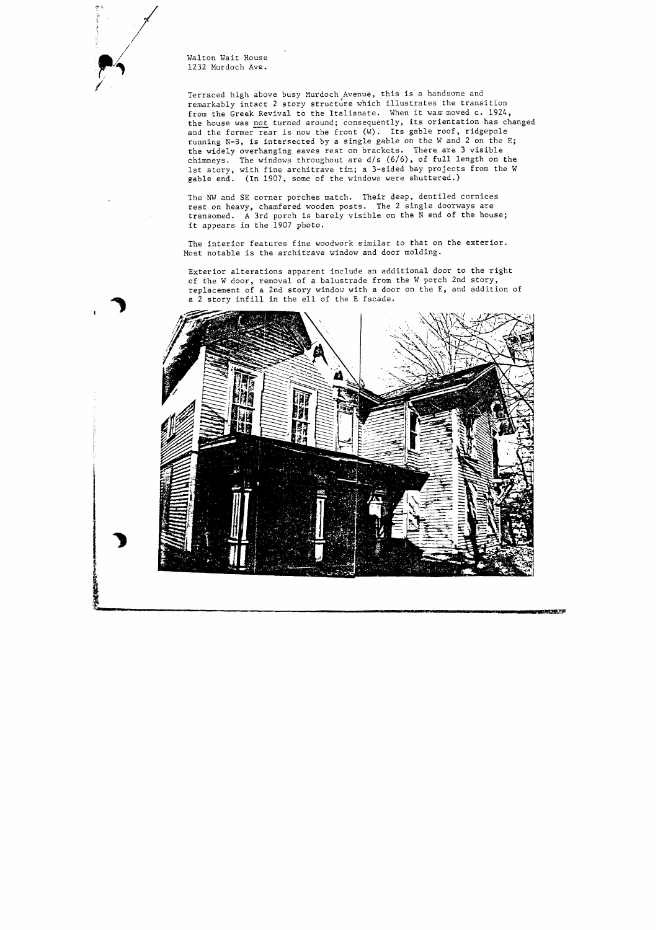Walton Wait House 1232 Murdoch Ave.

Terraced high above busy Murdoch,Avenue, this is a handsome and remarkably intact 2 story structure which illustrates the transition rom the Greek Revival to the Italianate. When it was moved c. 1924, erraced high above busy Murdoch Avenue, this is a handsome and<br>emarkably intact 2 story structure which illustrates the transition<br>rom the Greek Revival to the Italianate. When it was moved c. 1924,<br>he house was <u>not</u> turn the house was not turned around; consequently, its orientation has changed and the former rear is now the front  $(W)$ . Its gable roof, ridgepole running N-S, is intersected by a single gable on the W and 2 on the E; the widely overhanging eaves rest on brackets. There are 3 visible chimneys. The windows throughout are d/s (6/6), of full length on the 1st story, with fine architrave tim; a 3-sided bay projects from the W gable end. (In 1907, some of the windows were shuttered.)

The NW and SE corner porches match. Their deep, dentiled cornices rest on heavy, chamfered wooden posts. The 2 single doorways are transomed. A 3rd porch is barely visible on the N end of the house; it appears in the 1907 photo.

The interior features fine woodwork similar to that on the exterior. Most notable is the architrave window and door molding.

Exterior alterations apparent include an additional door to the right of the W door, removal of a balustrade from the W porch 2nd story, replacement of a 2nd story window with a door on the E, and addition of a 2 story infill in the ell of the E facade.



こまりです。で多